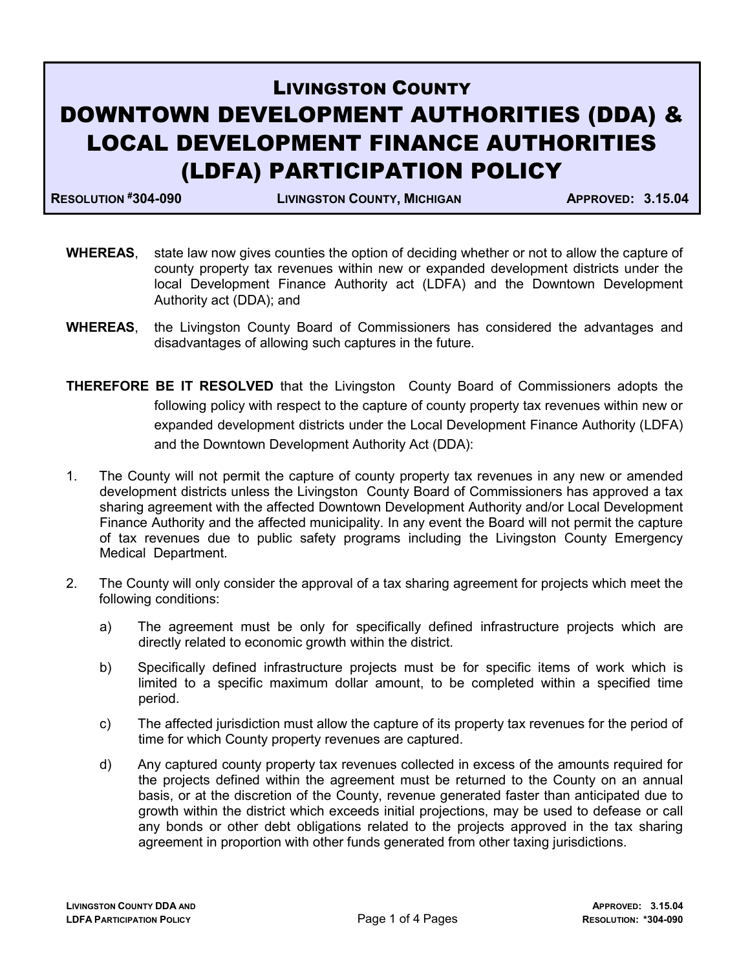## LIVINGSTON COUNTY DOWNTOWN DEVELOPMENT AUTHORITIES (DDA) & LOCAL DEVELOPMENT FINANCE AUTHORITIES (LDFA) PARTICIPATION POLICY

RESOLUTION #304-090 LIVINGSTON COUNTY, MICHIGAN APPROVED: 3.15.04

- WHEREAS, state law now gives counties the option of deciding whether or not to allow the capture of county property tax revenues within new or expanded development districts under the local Development Finance Authority act (LDFA) and the Downtown Development Authority act (DDA); and
- WHEREAS, the Livingston County Board of Commissioners has considered the advantages and disadvantages of allowing such captures in the future.
- THEREFORE BE IT RESOLVED that the Livingston County Board of Commissioners adopts the following policy with respect to the capture of county property tax revenues within new or expanded development districts under the Local Development Finance Authority (LDFA) and the Downtown Development Authority Act (DDA):
- 1. The County will not permit the capture of county property tax revenues in any new or amended development districts unless the Livingston County Board of Commissioners has approved a tax sharing agreement with the affected Downtown Development Authority and/or Local Development Finance Authority and the affected municipality. In any event the Board will not permit the capture of tax revenues due to public safety programs including the Livingston County Emergency Medical Department.
- 2. The County will only consider the approval of a tax sharing agreement for projects which meet the following conditions:
	- a) The agreement must be only for specifically defined infrastructure projects which are directly related to economic growth within the district.
	- b) Specifically defined infrastructure projects must be for specific items of work which is limited to a specific maximum dollar amount, to be completed within a specified time period.
	- c) The affected jurisdiction must allow the capture of its property tax revenues for the period of time for which County property revenues are captured.
	- d) Any captured county property tax revenues collected in excess of the amounts required for the projects defined within the agreement must be returned to the County on an annual basis, or at the discretion of the County, revenue generated faster than anticipated due to growth within the district which exceeds initial projections, may be used to defease or call any bonds or other debt obligations related to the projects approved in the tax sharing agreement in proportion with other funds generated from other taxing jurisdictions.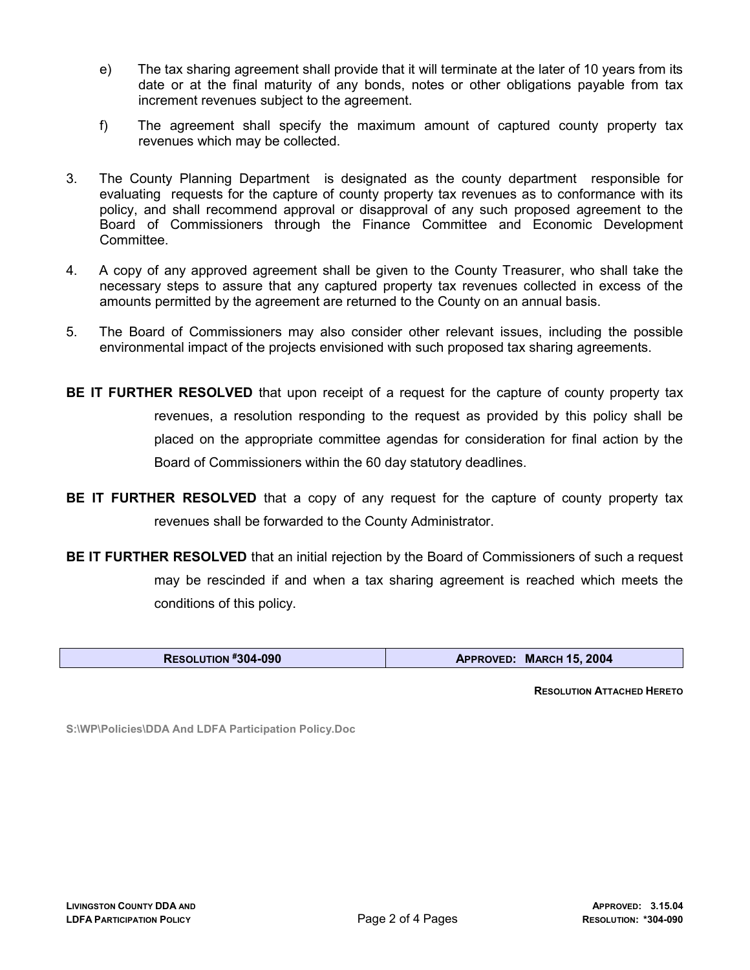- e) The tax sharing agreement shall provide that it will terminate at the later of 10 years from its date or at the final maturity of any bonds, notes or other obligations payable from tax increment revenues subject to the agreement.
- f) The agreement shall specify the maximum amount of captured county property tax revenues which may be collected.
- 3. The County Planning Department is designated as the county department responsible for evaluating requests for the capture of county property tax revenues as to conformance with its policy, and shall recommend approval or disapproval of any such proposed agreement to the Board of Commissioners through the Finance Committee and Economic Development **Committee**
- 4. A copy of any approved agreement shall be given to the County Treasurer, who shall take the necessary steps to assure that any captured property tax revenues collected in excess of the amounts permitted by the agreement are returned to the County on an annual basis.
- 5. The Board of Commissioners may also consider other relevant issues, including the possible environmental impact of the projects envisioned with such proposed tax sharing agreements.
- BE IT FURTHER RESOLVED that upon receipt of a request for the capture of county property tax revenues, a resolution responding to the request as provided by this policy shall be placed on the appropriate committee agendas for consideration for final action by the Board of Commissioners within the 60 day statutory deadlines.
- BE IT FURTHER RESOLVED that a copy of any request for the capture of county property tax revenues shall be forwarded to the County Administrator.
- **BE IT FURTHER RESOLVED** that an initial rejection by the Board of Commissioners of such a request may be rescinded if and when a tax sharing agreement is reached which meets the conditions of this policy.

| RESOLUTION #304-090 | APPROVED: MARCH 15, 2004 |
|---------------------|--------------------------|
|---------------------|--------------------------|

RESOLUTION ATTACHED HERETO

S:\WP\Policies\DDA And LDFA Participation Policy.Doc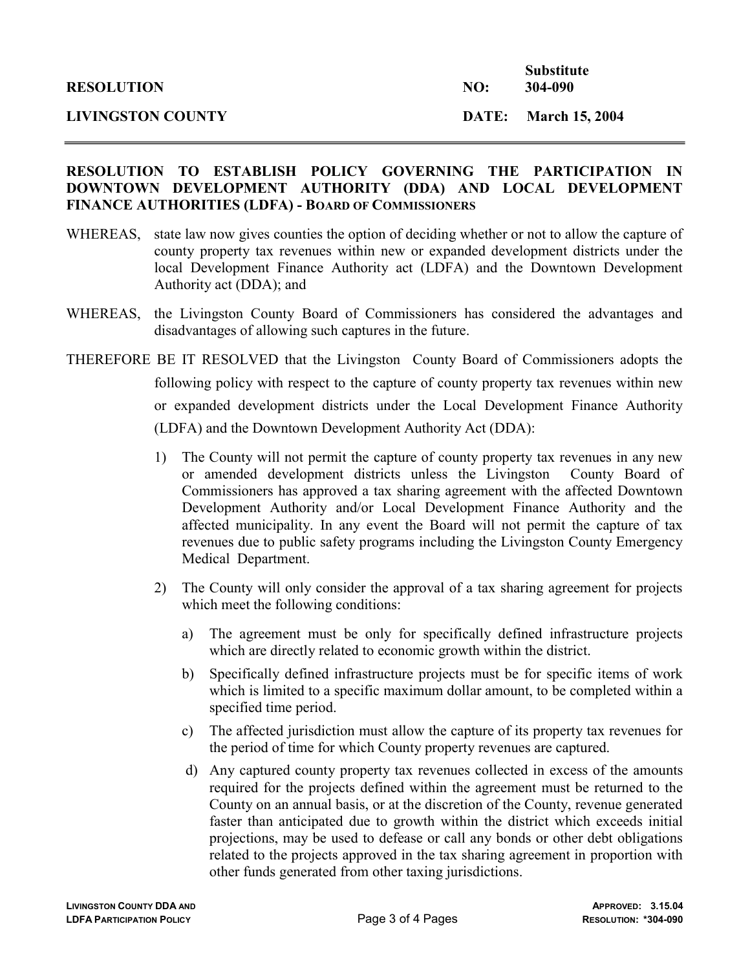## RESOLUTION TO ESTABLISH POLICY GOVERNING THE PARTICIPATION IN DOWNTOWN DEVELOPMENT AUTHORITY (DDA) AND LOCAL DEVELOPMENT FINANCE AUTHORITIES (LDFA) - BOARD OF COMMISSIONERS

- WHEREAS, state law now gives counties the option of deciding whether or not to allow the capture of county property tax revenues within new or expanded development districts under the local Development Finance Authority act (LDFA) and the Downtown Development Authority act (DDA); and
- WHEREAS, the Livingston County Board of Commissioners has considered the advantages and disadvantages of allowing such captures in the future.
- THEREFORE BE IT RESOLVED that the Livingston County Board of Commissioners adopts the following policy with respect to the capture of county property tax revenues within new or expanded development districts under the Local Development Finance Authority (LDFA) and the Downtown Development Authority Act (DDA):
	- 1) The County will not permit the capture of county property tax revenues in any new or amended development districts unless the Livingston County Board of Commissioners has approved a tax sharing agreement with the affected Downtown Development Authority and/or Local Development Finance Authority and the affected municipality. In any event the Board will not permit the capture of tax revenues due to public safety programs including the Livingston County Emergency Medical Department.
	- 2) The County will only consider the approval of a tax sharing agreement for projects which meet the following conditions:
		- a) The agreement must be only for specifically defined infrastructure projects which are directly related to economic growth within the district.
		- b) Specifically defined infrastructure projects must be for specific items of work which is limited to a specific maximum dollar amount, to be completed within a specified time period.
		- c) The affected jurisdiction must allow the capture of its property tax revenues for the period of time for which County property revenues are captured.
		- d) Any captured county property tax revenues collected in excess of the amounts required for the projects defined within the agreement must be returned to the County on an annual basis, or at the discretion of the County, revenue generated faster than anticipated due to growth within the district which exceeds initial projections, may be used to defease or call any bonds or other debt obligations related to the projects approved in the tax sharing agreement in proportion with other funds generated from other taxing jurisdictions.